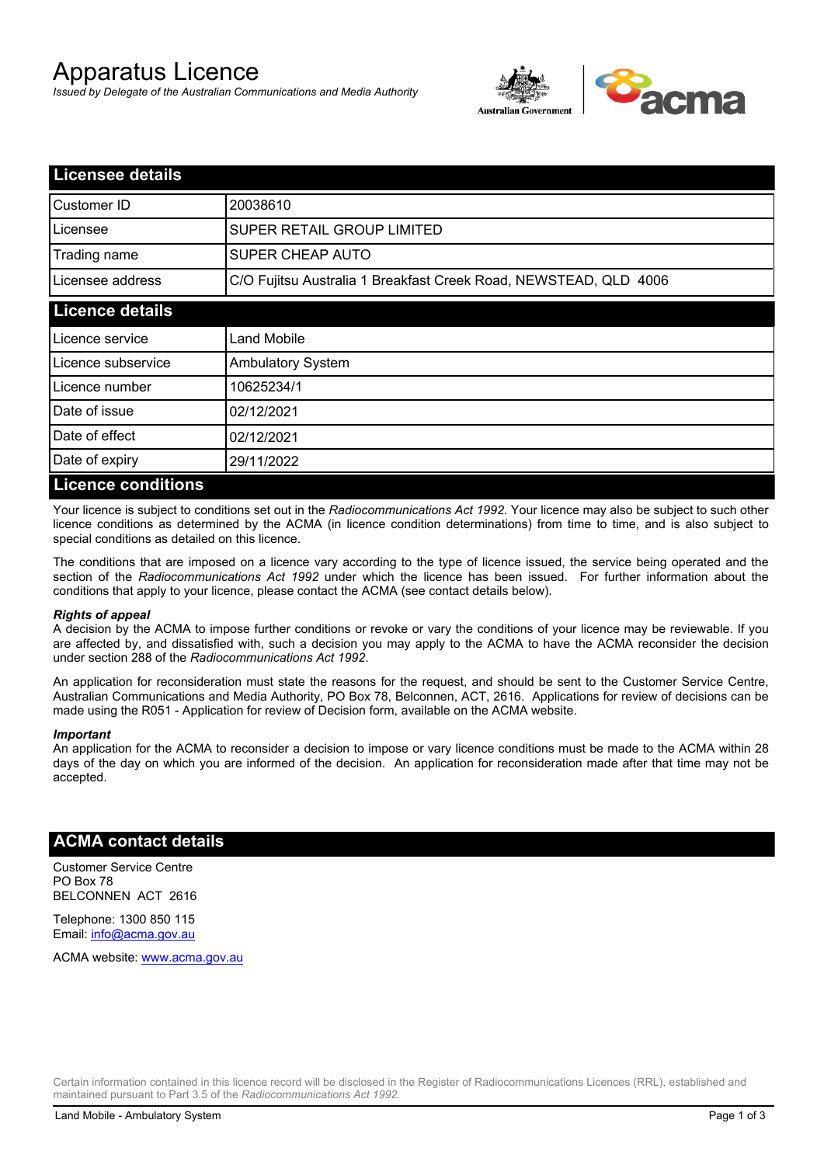# Apparatus Licence

*Issued by Delegate of the Australian Communications and Media Authority*



| <b>Licensee details</b>   |                                                                  |
|---------------------------|------------------------------------------------------------------|
| Customer ID               | 20038610                                                         |
| Licensee                  | <b>SUPER RETAIL GROUP LIMITED</b>                                |
| Trading name              | SUPER CHEAP AUTO                                                 |
| Licensee address          | C/O Fujitsu Australia 1 Breakfast Creek Road, NEWSTEAD, QLD 4006 |
| <b>Licence details</b>    |                                                                  |
| Licence service           | Land Mobile                                                      |
| Licence subservice        | <b>Ambulatory System</b>                                         |
| Licence number            | 10625234/1                                                       |
| Date of issue             | 02/12/2021                                                       |
| Date of effect            | 02/12/2021                                                       |
| Date of expiry            | 29/11/2022                                                       |
| <b>Licence conditions</b> |                                                                  |

Your licence is subject to conditions set out in the *Radiocommunications Act 1992*. Your licence may also be subject to such other licence conditions as determined by the ACMA (in licence condition determinations) from time to time, and is also subject to special conditions as detailed on this licence.

The conditions that are imposed on a licence vary according to the type of licence issued, the service being operated and the section of the *Radiocommunications Act 1992* under which the licence has been issued. For further information about the conditions that apply to your licence, please contact the ACMA (see contact details below).

### *Rights of appeal*

A decision by the ACMA to impose further conditions or revoke or vary the conditions of your licence may be reviewable. If you are affected by, and dissatisfied with, such a decision you may apply to the ACMA to have the ACMA reconsider the decision under section 288 of the *Radiocommunications Act 1992*.

An application for reconsideration must state the reasons for the request, and should be sent to the Customer Service Centre, Australian Communications and Media Authority, PO Box 78, Belconnen, ACT, 2616. Applications for review of decisions can be made using the R051 - Application for review of Decision form, available on the ACMA website.

#### *Important*

An application for the ACMA to reconsider a decision to impose or vary licence conditions must be made to the ACMA within 28 days of the day on which you are informed of the decision. An application for reconsideration made after that time may not be accepted.

### **ACMA contact details**

Customer Service Centre PO Box 78 BELCONNEN ACT 2616

Telephone: 1300 850 115 Email: info@acma.gov.au

ACMA website: www.acma.gov.au

Certain information contained in this licence record will be disclosed in the Register of Radiocommunications Licences (RRL), established and maintained pursuant to Part 3.5 of the *Radiocommunications Act 1992.*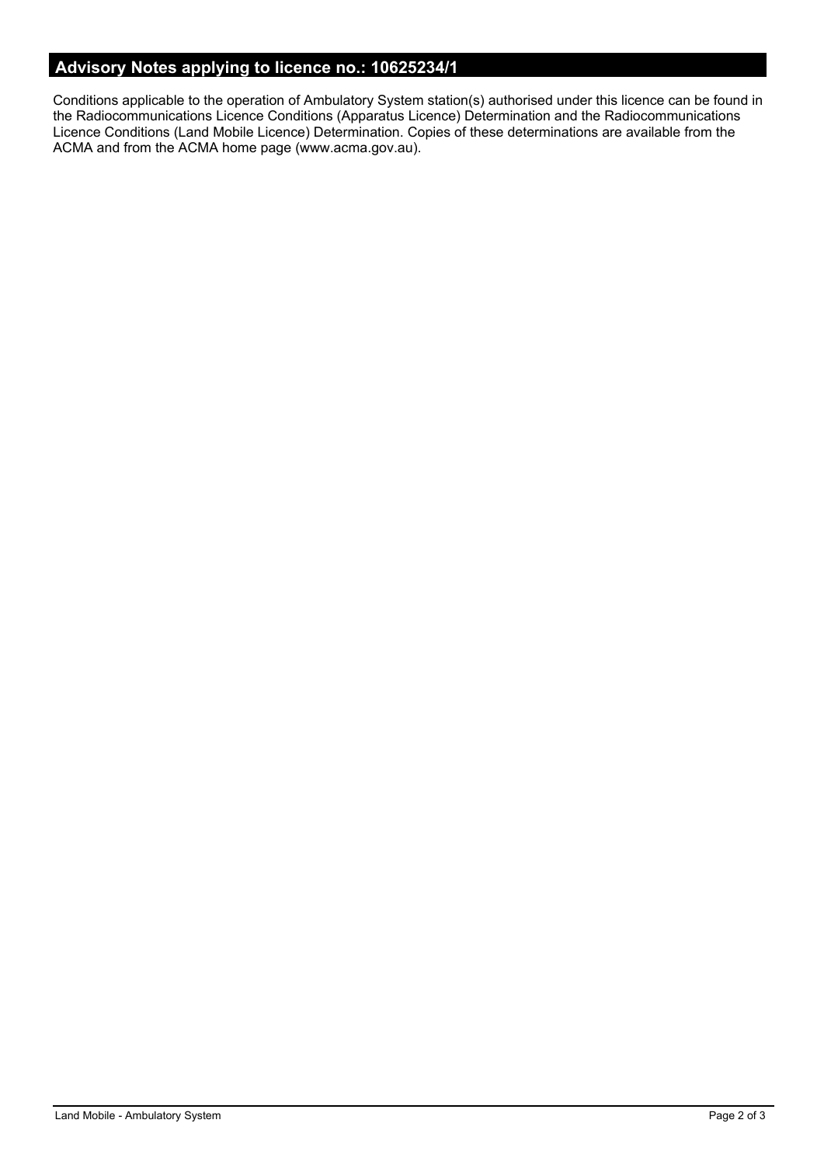# **Advisory Notes applying to licence no.: 10625234/1**

Conditions applicable to the operation of Ambulatory System station(s) authorised under this licence can be found in the Radiocommunications Licence Conditions (Apparatus Licence) Determination and the Radiocommunications Licence Conditions (Land Mobile Licence) Determination. Copies of these determinations are available from the ACMA and from the ACMA home page (www.acma.gov.au).